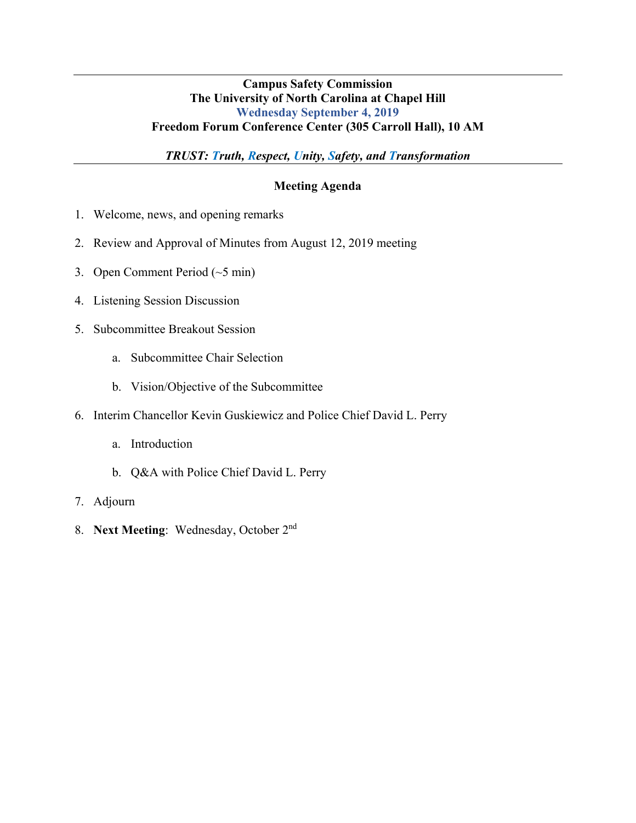### **Campus Safety Commission The University of North Carolina at Chapel Hill Wednesday September 4, 2019 Freedom Forum Conference Center (305 Carroll Hall), 10 AM**

*TRUST: Truth, Respect, Unity, Safety, and Transformation*

### **Meeting Agenda**

- 1. Welcome, news, and opening remarks
- 2. Review and Approval of Minutes from August 12, 2019 meeting
- 3. Open Comment Period (~5 min)
- 4. Listening Session Discussion
- 5. Subcommittee Breakout Session
	- a. Subcommittee Chair Selection
	- b. Vision/Objective of the Subcommittee
- 6. Interim Chancellor Kevin Guskiewicz and Police Chief David L. Perry
	- a. Introduction
	- b. Q&A with Police Chief David L. Perry
- 7. Adjourn
- 8. **Next Meeting**: Wednesday, October 2nd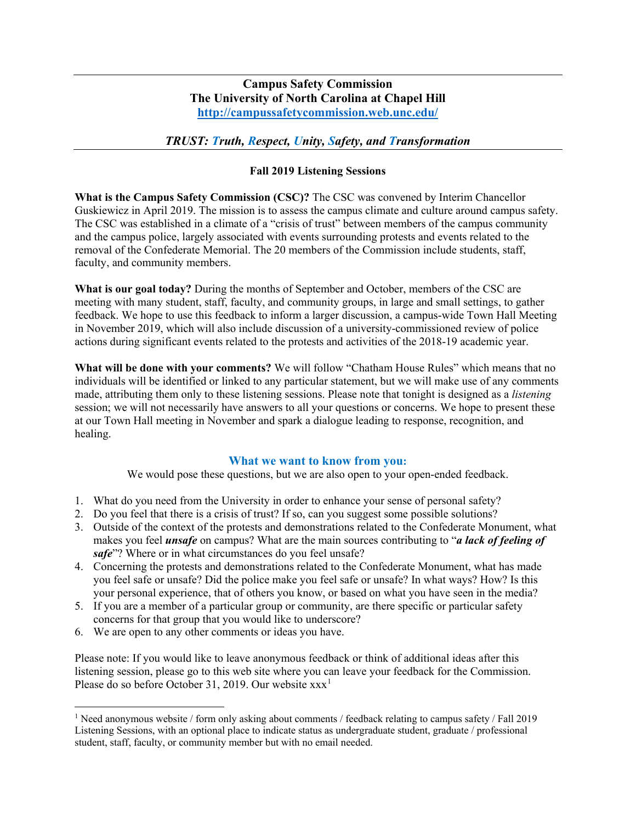### **Campus Safety Commission The University of North Carolina at Chapel Hill <http://campussafetycommission.web.unc.edu/>**

### *TRUST: Truth, Respect, Unity, Safety, and Transformation*

#### **Fall 2019 Listening Sessions**

**What is the Campus Safety Commission (CSC)?** The CSC was convened by Interim Chancellor Guskiewicz in April 2019. The mission is to assess the campus climate and culture around campus safety. The CSC was established in a climate of a "crisis of trust" between members of the campus community and the campus police, largely associated with events surrounding protests and events related to the removal of the Confederate Memorial. The 20 members of the Commission include students, staff, faculty, and community members.

**What is our goal today?** During the months of September and October, members of the CSC are meeting with many student, staff, faculty, and community groups, in large and small settings, to gather feedback. We hope to use this feedback to inform a larger discussion, a campus-wide Town Hall Meeting in November 2019, which will also include discussion of a university-commissioned review of police actions during significant events related to the protests and activities of the 2018-19 academic year.

**What will be done with your comments?** We will follow "Chatham House Rules" which means that no individuals will be identified or linked to any particular statement, but we will make use of any comments made, attributing them only to these listening sessions. Please note that tonight is designed as a *listening* session; we will not necessarily have answers to all your questions or concerns. We hope to present these at our Town Hall meeting in November and spark a dialogue leading to response, recognition, and healing.

#### **What we want to know from you:**

We would pose these questions, but we are also open to your open-ended feedback.

- 1. What do you need from the University in order to enhance your sense of personal safety?
- 2. Do you feel that there is a crisis of trust? If so, can you suggest some possible solutions?
- 3. Outside of the context of the protests and demonstrations related to the Confederate Monument, what makes you feel *unsafe* on campus? What are the main sources contributing to "*a lack of feeling of safe*"? Where or in what circumstances do you feel unsafe?
- 4. Concerning the protests and demonstrations related to the Confederate Monument, what has made you feel safe or unsafe? Did the police make you feel safe or unsafe? In what ways? How? Is this your personal experience, that of others you know, or based on what you have seen in the media?
- 5. If you are a member of a particular group or community, are there specific or particular safety concerns for that group that you would like to underscore?
- 6. We are open to any other comments or ideas you have.

Please note: If you would like to leave anonymous feedback or think of additional ideas after this listening session, please go to this web site where you can leave your feedback for the Commission. Please do so before October 3[1](#page-1-0), 2019. Our website  $xxx<sup>1</sup>$ 

<span id="page-1-0"></span><sup>1</sup> Need anonymous website / form only asking about comments / feedback relating to campus safety / Fall 2019 Listening Sessions, with an optional place to indicate status as undergraduate student, graduate / professional student, staff, faculty, or community member but with no email needed.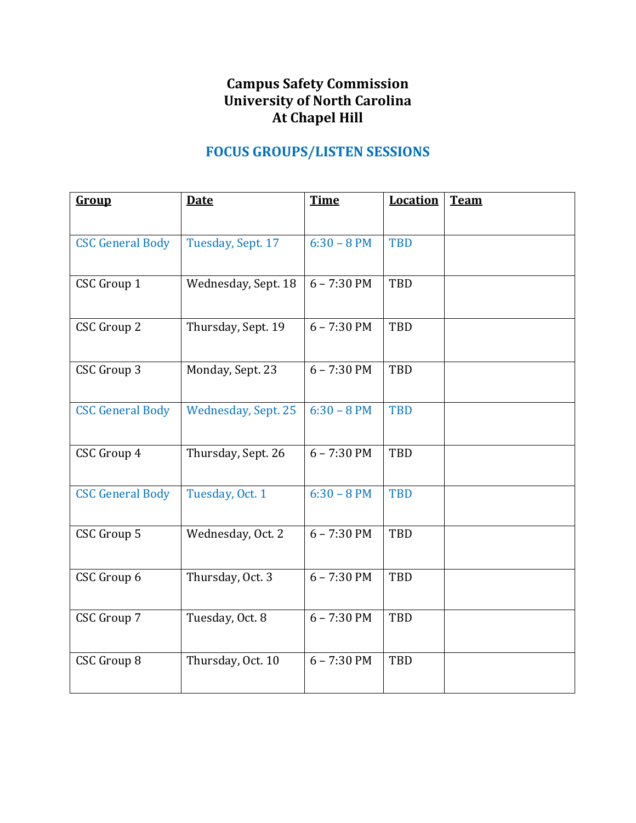## **Campus Safety Commission University of North Carolina At Chapel Hill**

# **FOCUS GROUPS/LISTEN SESSIONS**

| <b>Group</b>            | <b>Date</b>                | <b>Time</b>   | <b>Location</b> | <b>Team</b> |
|-------------------------|----------------------------|---------------|-----------------|-------------|
|                         |                            |               |                 |             |
| <b>CSC General Body</b> | Tuesday, Sept. 17          | $6:30 - 8 PM$ | <b>TBD</b>      |             |
| <b>CSC Group 1</b>      | Wednesday, Sept. 18        | $6 - 7:30$ PM | TBD             |             |
|                         |                            |               |                 |             |
| <b>CSC Group 2</b>      | Thursday, Sept. 19         | $6 - 7:30$ PM | TBD             |             |
|                         |                            |               |                 |             |
| CSC Group 3             | Monday, Sept. 23           | $6 - 7:30$ PM | TBD             |             |
| <b>CSC General Body</b> | <b>Wednesday, Sept. 25</b> | $6:30 - 8 PM$ | <b>TBD</b>      |             |
|                         |                            |               |                 |             |
| CSC Group 4             | Thursday, Sept. 26         | $6 - 7:30$ PM | TBD             |             |
|                         |                            |               |                 |             |
| <b>CSC General Body</b> | Tuesday, Oct. 1            | $6:30 - 8 PM$ | <b>TBD</b>      |             |
| CSC Group 5             | Wednesday, Oct. 2          | $6 - 7:30$ PM | TBD             |             |
|                         |                            |               |                 |             |
| CSC Group 6             | Thursday, Oct. 3           | $6 - 7:30$ PM | <b>TBD</b>      |             |
|                         |                            |               |                 |             |
| CSC Group 7             | Tuesday, Oct. 8            | $6 - 7:30$ PM | TBD             |             |
|                         |                            |               |                 |             |
| <b>CSC Group 8</b>      | Thursday, Oct. 10          | $6 - 7:30$ PM | <b>TBD</b>      |             |
|                         |                            |               |                 |             |